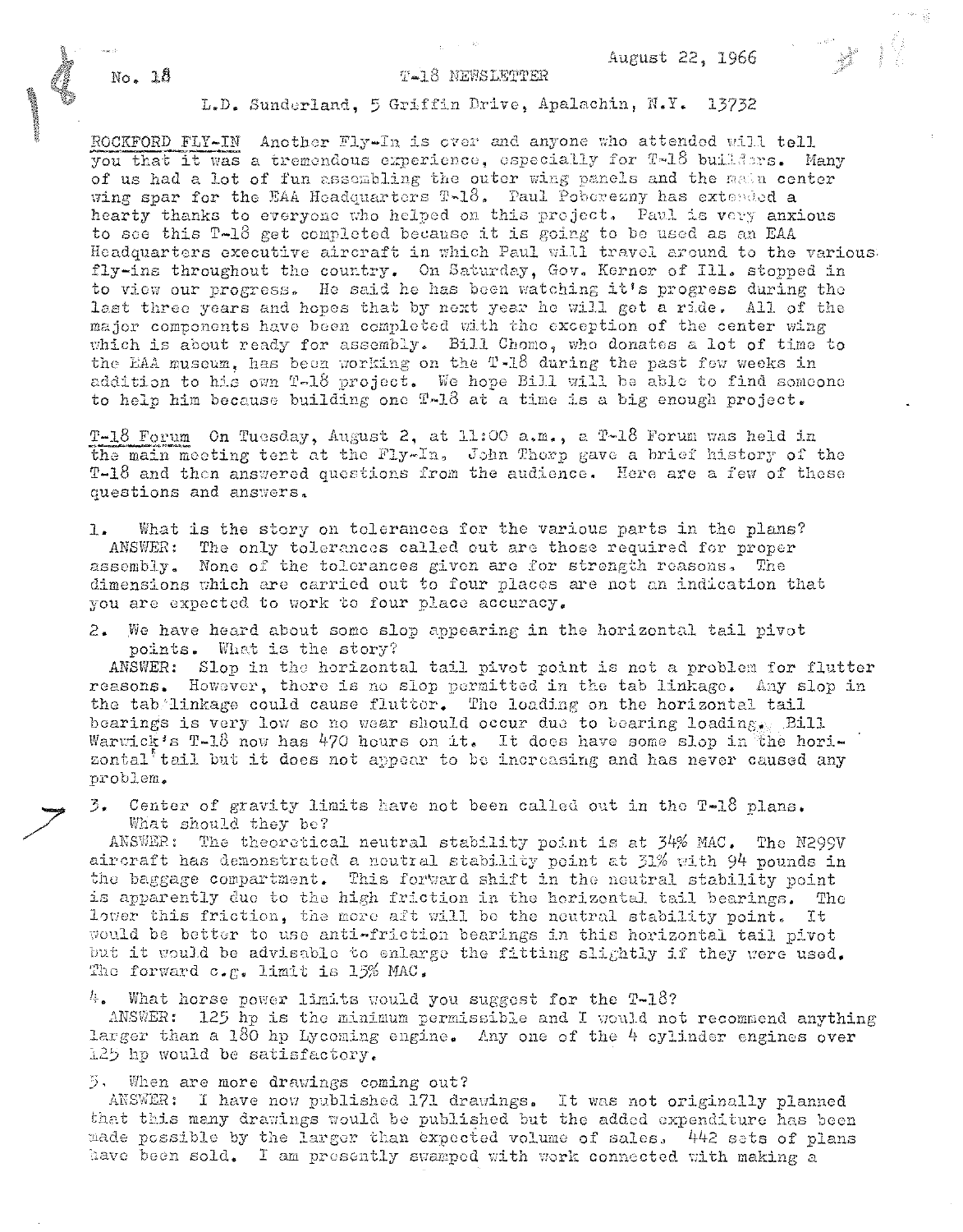### T-18 NEWSLETTER

# L.D. Sunderland, 5 Griffin Drive, Apalachin, N.Y. 13732

ROCKFORD FLY-IN Another Fly-In is over and anyone who attended will tell you that it was a tremendous experience, especially for T-18 builders. Many of us had a lot of fun assembling the outer wing panels and the main center wing spar for the EAA Headquarters T-18. Paul Poberezny has extended a hearty thanks to everyone who helped on this project. Paul is very anxious to see this T-18 get completed because it is going to be used as an EAA Headquarters executive aircraft in which Paul will travel around to the various fly-ins throughout the country. On Saturday, Gov. Kerner of Ill. stopped in to view our progress. He said he has been watching it's progress during the last three years and hopes that by next year he will get a ride. All of the major components have been completed with the exception of the center wing which is about ready for assembly. Bill Chomo, who donates a lot of time to the EAA museum, has been working on the T-18 during the past few weeks in addition to his own T-18 project. We hope Bill will be able to find someone to help him because building one T-18 at a time is a big enough project.

T-18 Forum On Tuesday, August 2, at 11:00 a.m., a T-18 Forum was held in the main meeting tent at the Fly-In, John Thorp gave a brief history of the T-18 and then answered questions from the audience. Here are a few of these questions and answers.

What is the story on tolerances for the various parts in the plans?  $1.$ The only tolerances called out are those required for proper ANSWER: assembly. None of the tolerances given are for strength reasons. The dimensions which are carried out to four places are not an indication that you are expected to work to four place accuracy.

2. We have heard about some slop appearing in the horizontal tail pivot points. What is the story?

ANSWER: Slop in the horizontal tail pivot point is not a problem for flutter reasons. However, there is no slop permitted in the tab linkage. Any slop in the tab linkage could cause flutter. The loading on the horizontal tail bearings is very low so no wear should occur due to bearing loadings. Bill Warwick's T-18 now has 470 hours on it. It does have some slop in the horizontal<sup>t</sup> tail but it does not appear to be increasing and has never caused any problem.

3. Center of gravity limits have not been called out in the T-18 plans. What should they be?

ANSWER: The theoretical neutral stability point is at 34% MAC. The N299V aircraft has demonstrated a neutral stability point at 31% with 94 pounds in the baggage compartment. This forward shift in the neutral stability point is apparently due to the high friction in the horizontal tail bearings. The lower this friction, the more aft will be the neutral stability point. It would be better to use anti-friction bearings in this horizontal tail pivot but it would be advisable to enlarge the fitting slightly if they were used. The forward  $c_{\star E}$ . limit is 15% MAC.

 $4.$  What horse power limits would you suggest for the T-18?

ANSWER: 125 hp is the minimum permissible and I would not recommend anything larger than a 180 hp Lycoming engine. Any one of the  $4$  cylinder engines over 125 hp would be satisfactory.

 $5$ . When are more drawings coming out?

ANSWER: I have now published 171 drawings. It was not originally planned that this many drawings would be published but the added expenditure has been made possible by the larger than expected volume of sales, 442 sets of plans have been sold. I am presently swamped with work connected with making a

 $No. 18$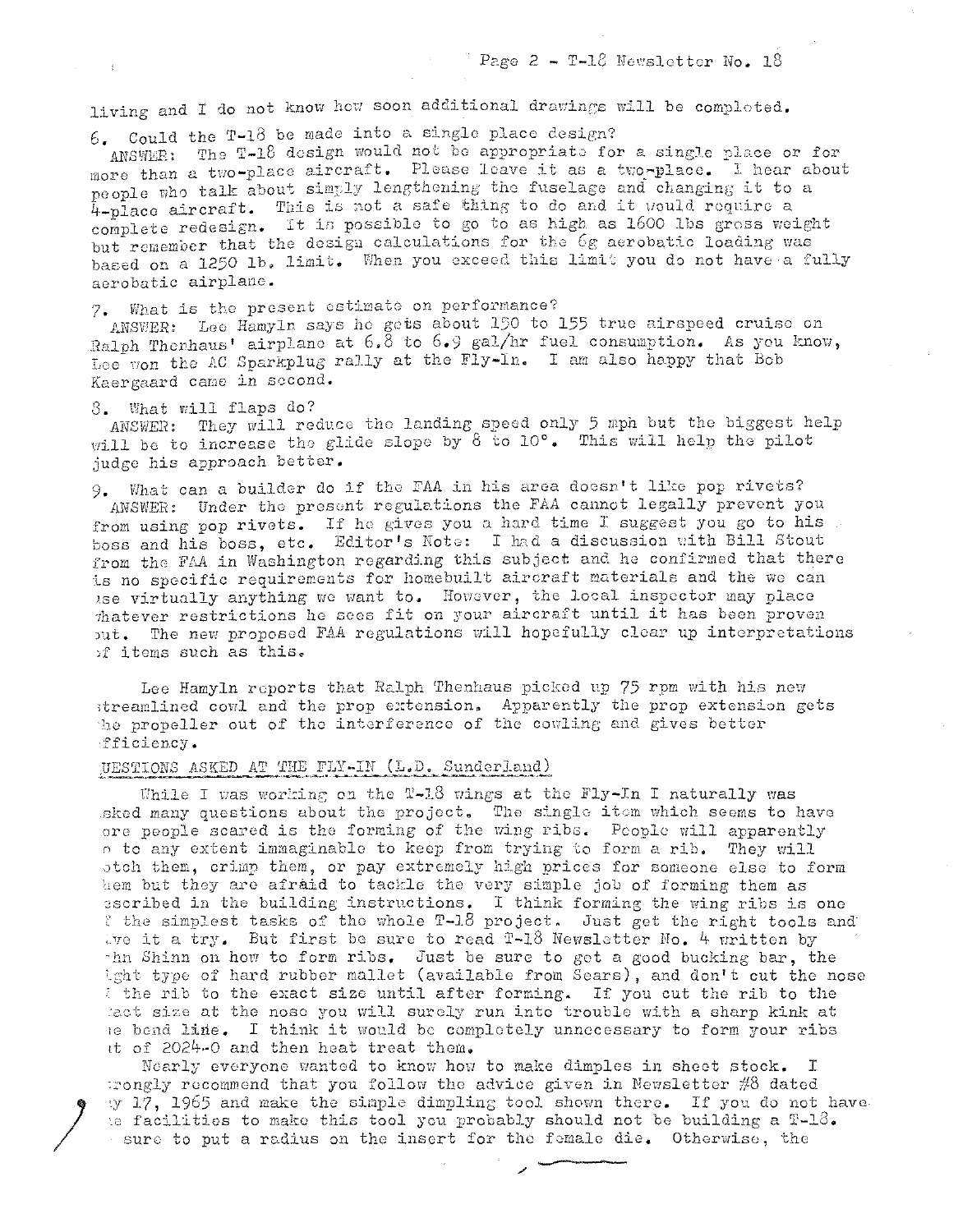living and I do not know how soon additional drawings will be completed.

 $6.$  Could the T-18 be made into a single place design?

ANSWER: The T-18 design would not be appropriate for a single place or for more than a two-place aircraft. Please leave it as a two-place. I hear about people who talk about simply lengthening the fuselage and changing it to a 4-place aircraft. This is not a safe thing to do and it would require a complete redesign. It is possible to go to as high as 1600 lbs gross weight but remember that the design calculations for the 6g aerobatic loading was based on a 1250 1b. limit. When you exceed this limit you do not have a fully aerobatic airplane.

What is the present estimate on performance? 7.

ANSWER: Lee Hamyln says he gets about 150 to 155 true airspeed cruise on Ralph Thenhaus' airplane at 6.8 to 6.9 gal/hr fuel consumption. As you know. Lee von the AC Sparkplug rally at the Fly-In. I am also happy that Bob Kaergaard came in second.

### 8. What will flaps do?

ANSWER: They will reduce the landing speed only 5 mph but the biggest help will be to increase the glide slope by 8 to 10°. This will help the pilot judge his approach better.

9. What can a builder do if the FAA in his area doesn't like pop rivets? ANSWER: Under the present regulations the FAA cannot legally prevent you from using pop rivets. If he gives you a hard time I suggest you go to his boss and his boss, etc. Editor's Note: I had a discussion with Bill Stout from the FAA in Washington regarding this subject and he confirmed that there is no specific requirements for homebuilt aircraft materials and the we can use virtually anything we want to. However, the local inspector may place thatever restrictions he sees fit on your aircraft until it has been proven out. The new proposed FAA regulations will hopefully clear up interpretations of items such as this.

Lee Hamyln reports that Ralph Thenhaus picked up 75 rpm with his new streamlined cowl and the prop extension. Apparently the prop extension gets the propeller out of the interference of the cowling and gives better fficiency.

# UESTIONS ASKED AT THE FLY-IN (L.D. Sunderland)

While I was working on the T-18 wings at the Fly-In I naturally was sked many questions about the project. The single item which seems to have ore people scared is the forming of the wing ribs. People will apparently o to any extent immaginable to keep from trying to form a rib. They will otch them, crimp them, or pay extremely high prices for someone else to form hem but they are afraid to tackle the very simple job of forming them as escribed in the building instructions. I think forming the wing ribs is one ? the simplest tasks of the whole T-18 project. Just get the right tools and tve it a try. But first be sure to read T-18 Newsletter No. 4 written by thn Shinn on how to form ribs. Just be sure to get a good bucking bar, the ight type of hard rubber mallet (available from Sears), and don't cut the nose I the rib to the exact size until after forming. If you cut the rib to the lact size at the nose you will surely run into trouble with a sharp kink at le bend line. I think it would be completely unnecessary to form your ribs it of 2024-0 and then heat treat them.

Nearly everyone wanted to know how to make dimples in sheet stock. I rongly recommend that you follow the advice given in Newsletter  $\#8$  dated y 17, 1965 and make the simple dimpling tool shown there. If you do not have te facilities to make this tool you probably should not be building a  $T-18$ . sure to put a radius on the insert for the female die. Otherwise, the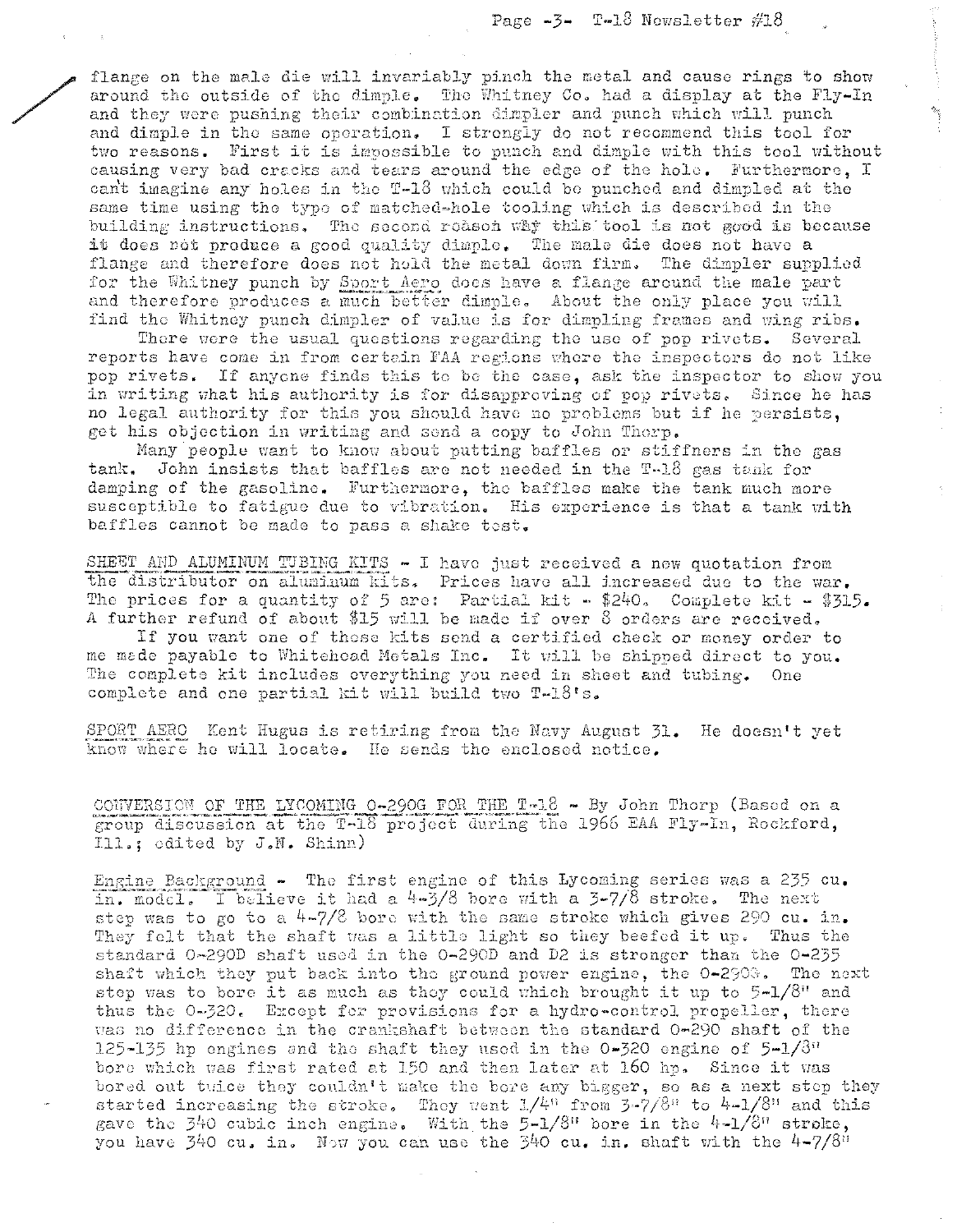flange on the male die will invariably pinch the metal and cause rings to show around the outside of the dimple. The Whitney Co. had a display at the Fly-In and they were pushing their combination dimpler and punch which will punch and dimple in the same operation. I strongly do not recommend this tool for two reasons. First it is impossible to punch and dimple with this tool without causing very bad cracks and tears around the edge of the hole. Furthermore, I cant imagine any holes in the T-18 which could be punched and dimpled at the same time using the type of matched-hole tooling which is described in the building instructions. The second reason why this tool is not good is because it does not produce a good quality dimple. The male die does not have a flange and therefore does not hold the metal down firm. The dimpler supplied for the Whitney punch by Sport Aero does have a flange around the male part and therefore produces a much better dimple. About the only place you will find the Whitney punch dimpler of value is for dimpling frames and wing ribs.

There were the usual questions regarding the use of pop rivets. Several reports have come in from certain FAA regions where the inspectors do not like pop rivets. If anyone finds this to be the case, ask the inspector to show you in writing what his authority is for disapproving of pop rivets. Since he has no legal authority for this you should have no problems but if he persists, get his objection in writing and send a copy to John Thorp.

Many people want to know about putting baffles or stiffners in the gas tank. John insists that baffles are not needed in the T-18 gas tank for damping of the gasoline. Furthermore, the baffles make the tank much more susceptible to fatigue due to vibration. His experience is that a tank with baffles cannot be made to pass a shake test.

SHEET AND ALUMINUM TUBING KITS - I have just received a new quotation from the distributor on aluminum kits. Prices have all increased due to the war. The prices for a quantity of 5 are: Partial kit - \$240. Complete kit - \$315. A further refund of about \$15 will be made if over 8 orders are received.

If you want one of those kits send a certified check or money order to me made payable to Whitehoad Metals Inc. It will be shipped direct to you. The complete kit includes everything you need in sheet and tubing. One complete and one partial kit will build two T-18's.

SPORT AERO Kent Hugus is retiring from the Navy August 31. He doesn't yet know where he will locate. He sends the enclosed notice.

CONVERSION OF THE LYCOMING 0-290G FOR THE T-18 - By John Thorp (Based on a group discussion at the T-18 project during the 1966 EAA Fly-In, Rockford, Ill.; edited by J.N. Shinn)

Engine Background - The first engine of this Lycoming series was a 235 cu. in. model. I believe it had a  $4-3/8$  bore with a  $3-7/8$  stroke. The next step was to go to a  $4-7/8$  bore with the same stroke which gives 290 cu. in. They felt that the shaft was a little light so they beefed it up. Thus the standard 0-290D shaft used in the 0-290D and D2 is stronger than the 0-235 shaft which they put back into the ground power engine, the 0-2908. The next step was to bore it as much as they could which brought it up to 5-1/8" and thus the 0-320. Except for provisions for a hydro-control propeller, there was no difference in the crankshaft between the standard 0-290 shaft of the 125-135 hp engines and the shaft they used in the  $0-320$  engine of  $5-1/3$ <sup>"</sup> bore which was first rated at 150 and then later at 160 hp. Since it was bored out tuice they couldn't make the bore any bigger, so as a next step they started increasing the stroke. They went  $1/4^n$  from  $3-7/8^n$  to  $4-1/8^n$  and this gave the 340 cubic inch engine. With the  $5-1/8$ <sup>n</sup> bore in the  $4-1/8$ <sup>n</sup> stroke, you have  $\frac{1}{2}40$  cu, in, Now you can use the  $\frac{340}{10}$  cu, in, shaft with the  $4-7/8$ <sup>11</sup>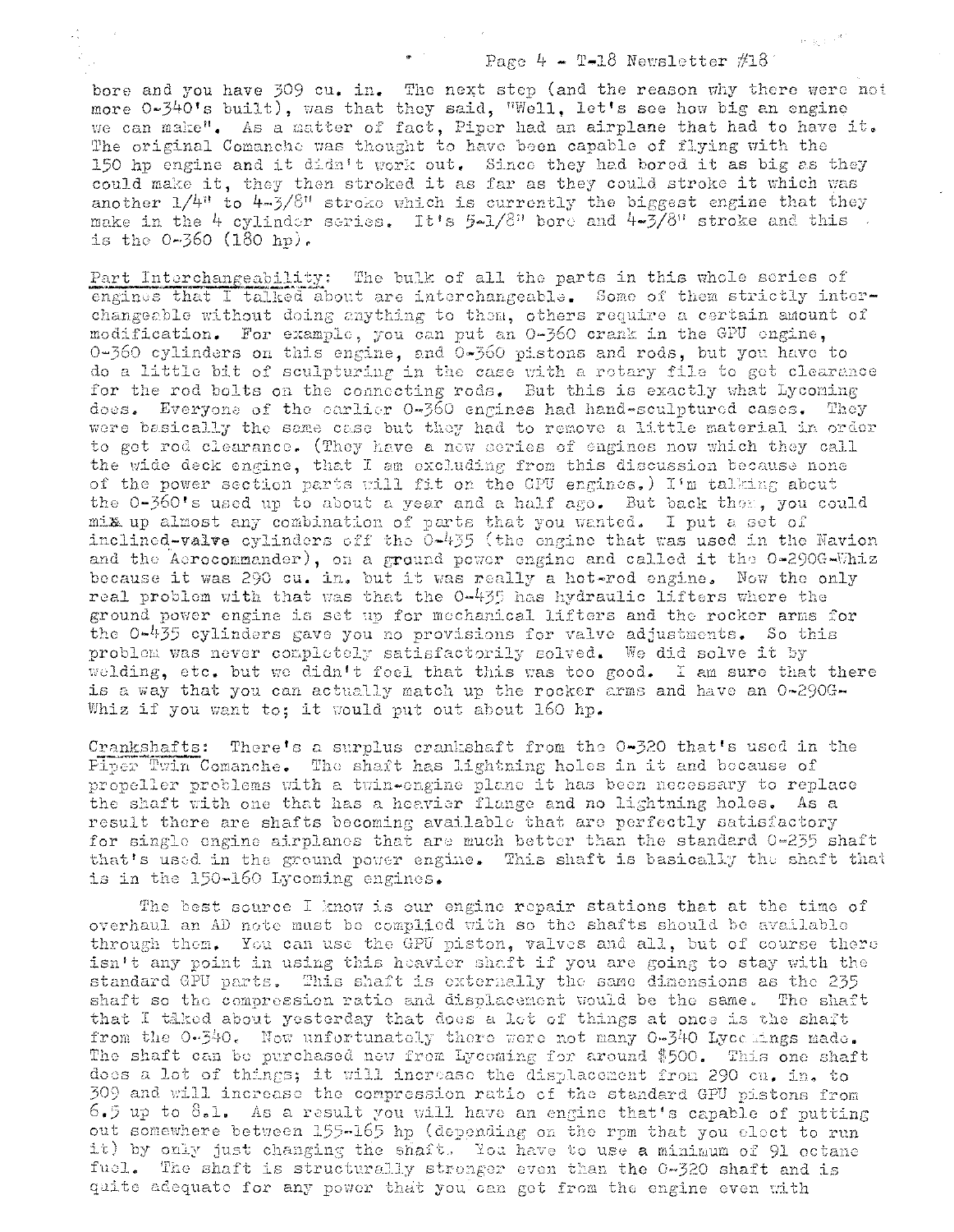### Page 4 - T-18 Newsletter  $#18$

新聞の作

bore and you have 309 cu. in. The next step (and the reason why there were not more 0-340's built), was that they said, "Well, let's see how big an engine we can make". As a matter of fact, Piper had an airplane that had to have it. The original Comanche was thought to have been capable of flying with the 150 hp engine and it didn't work out. Since they had bored it as big as they could make it, they then stroked it as far as they could stroke it which was another  $1/4$ <sup>n</sup> to  $4\pi/8$ <sup>n</sup> stroke which is currently the biggest engine that they make in the 4 cylinder series. It's  $5-1/8$ <sup>n</sup> bore and  $4-3/8$ <sup>n</sup> stroke and this is the  $0-360$  (180 hp).

a Î

Part Interchangeability: The bulk of all the parts in this whole series of engines that I talked about are interchangeable. Some of them strictly interchangeable without doing anything to them, others require a certain amount of modification. For example, you can put an 0-360 crank in the GPU engine, 0-360 cylinders on this engine, and 0-360 pistons and rods, but you have to do a little bit of sculpturing in the case with a rotary file to get clearance for the rod bolts on the connecting rods. But this is exactly what Lycoming does. Everyone of the earlier 0-360 engines had hand-sculptured cases. They were basically the same case but they had to remove a little material in order to get rod clearance. (They have a new series of engines now which they call the wide deck engine, that I am excluding from this discussion because none of the power section parts will fit on the GPU engines.) I'm talking about the 0-360's used up to about a year and a half ago. But back them, you could mix up almost any combination of parts that you wanted. I put a set of inclined-valve cylinders off the 0-435 (the engine that was used in the Navion and the Aerocommander), on a ground power engine and called it the 0-290G-Whiz because it was 290 cu. in. but it was really a hot-rod engine. Now the only real problem with that was that the 0-435 has hydraulic lifters where the ground power engine is set up for mechanical lifters and the rocker arms for the 0-435 cylinders gave you no provisions for valve adjustments. So this problem was never completely satisfactorily solved. We did solve it by welding, etc. but we didn't foel that this was too good. I am sure that there is a way that you can actually match up the rocker arms and have an 0-290G-Whiz if you want to; it would put out about 160 hp.

Crankshafts: There's a surplus crankshaft from the 0-320 that's used in the Piper Twin Comanche. The shaft has lightning holes in it and because of propeller problems with a twin-ongine plane it has been necessary to replace the shaft with one that has a heavier flange and no lightning holes. As a result there are shafts becoming available that are perfectly satisfactory for single engine airplanes that are much better than the standard  $0-255$  shaft that's used in the ground power engine. This shaft is basically the shaft that is in the 150-160 Lycoming engines.

The best source I know is our engine repair stations that at the time of overhaul an AD note must be complied with so the shafts should be available through them. You can use the GPU piston, valves and all, but of course there isn't any point in using this heavier shaft if you are going to stay with the standard GPU parts. This shaft is externally the same dimensions as the 235 shaft so the compression ratio and displacement would be the same. The shaft that I taked about yesterday that does a let of things at once is the shaft from the  $0.540$ . Now unfortunately there were not many  $0.340$  Lyce mass made. The shaft can be purchased new from Lycoming for around \$500. This one shaft does a lot of things; it will increase the displacement from 290 cu. in. to 309 and will increase the compression ratio of the standard GPU pistons from 6.5 up to 8.1. As a result you will have an engine that's capable of putting out somewhere between 155-165 hp (depending on the rpm that you elect to run it) by only just changing the shaft. You have to use a minimum of 91 octane fuel. The shaft is structurally stronger even than the 0-320 shaft and is quite adequate for any power that you can get from the engine even with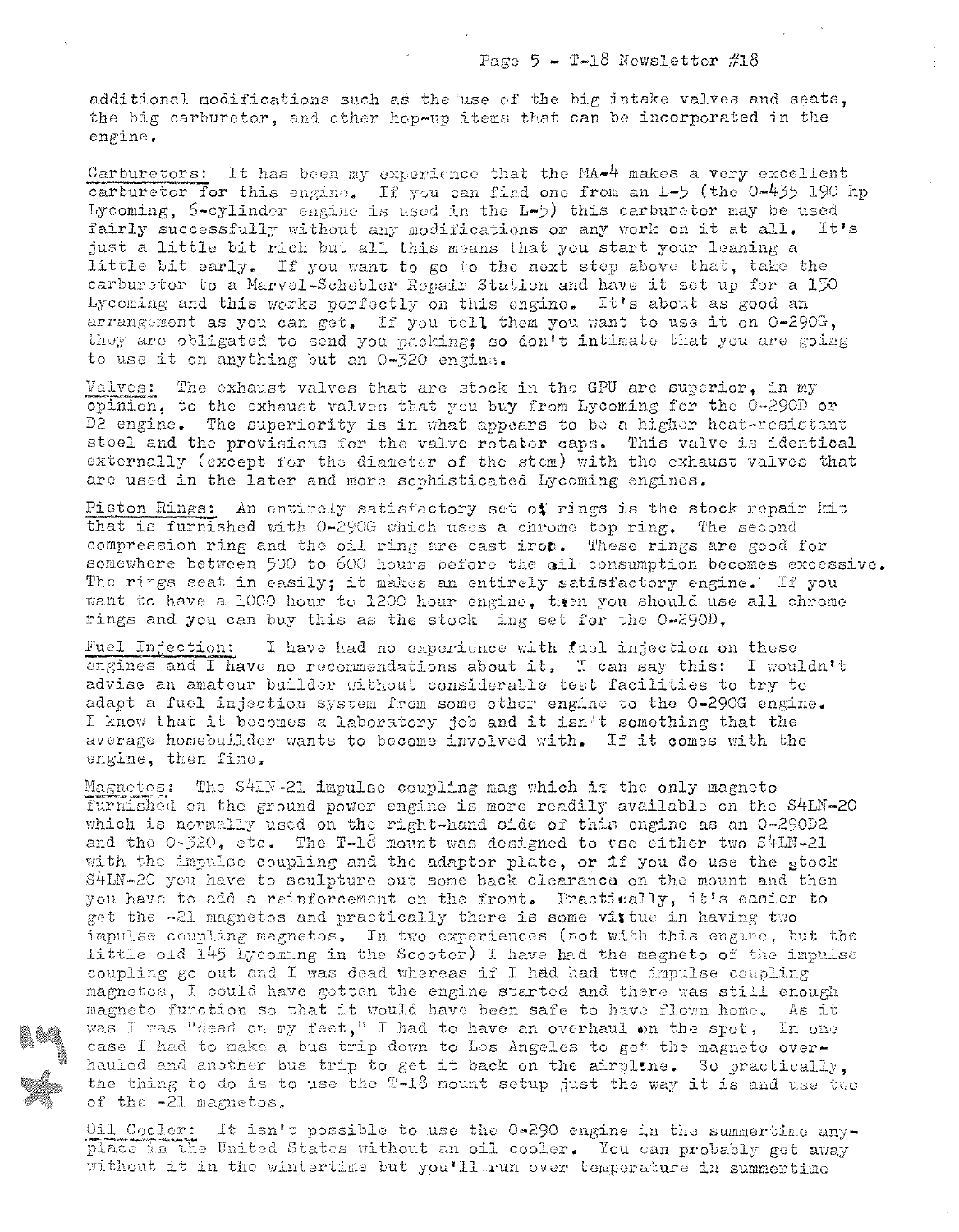additional modifications such as the use of the big intake valves and seats, the big carburetor, and other hop-up items that can be incorporated in the engine.

Carburetors: It has been my experience that the MA-4 makes a very excellent carburetor for this engine. If you can find one from an L-5 (the 0-435 190 hp Lycoming, 6-cylinder engine is used in the L-5) this carburetor may be used fairly successfully without any modifications or any work on it at all. It's just a little bit rich but all this means that you start your leaning a little bit early. If you want to go to the next step above that, take the carburetor to a Marvel-Schebler Repair Station and have it set up for a 150 Lycoming and this works perfectly on this engine. It's about as good an arrangement as you can get. If you tell them you want to use it on 0-290G, they are obligated to send you packing; so don't intimate that you are going to use it on anything but an 0-320 engina.

Valves: The exhaust valves that are stock in the GPU are superior, in my opinion, to the exhaust valves that you buy from Lycoming for the 0-290D or D2 engine. The superiority is in what appears to be a higher heat-resistant steel and the provisions for the valve rotator caps. This valve is identical externally (except for the diameter of the stem) with the exhaust valves that are used in the later and more sophisticated Lycoming enginos.

Piston Rings: An entirely satisfactory set of rings is the stock repair kit that is furnished with 0-290G which uses a chrome top ring. The second compression ring and the oil ring are cast iron. These rings are good for somewhere between 500 to 600 hours before the ail consumption becomes excessive. The rings seat in easily; it makes an entirely satisfactory engine. If you want to have a 1000 hour to 1200 hour engine, tren you should use all chrome rings and you can buy this as the stock ing set for the 0-290D.

Fuel Injection: I have had no experience with fuel injection on these engines and I have no recommendations about it. I can say this: I wouldn't advise an amateur builder without considerable test facilities to try to adapt a fuel injection system from some other engine to the 0-290G engine. I know that it becomes a laboratory job and it isn't something that the average homebuilder wants to become involved with. If it comes with the engine, then fine.

Magnetos: The S4LN-21 impulse coupling mag which is the only magneto furnished on the ground power engine is more readily available on the S4LN-20 which is normally used on the right-hand side of this engine as an 0-290D2 and the 0-320, etc. The T-18 mount was designed to vse either two S4LN-21 with the impulse coupling and the adaptor plate, or if you do use the stock S4LN-20 you have to sculpture out some back clearance on the mount and then you have to add a reinforcement on the front. Practitally, it's easier to get the -21 magnetos and practically there is some vittue in having two impulse coupling magnetos. In two experiences (not with this engine, but the little old 145 Lycoming in the Scooter) I have had the magneto of the impulse coupling go out and I was dead whereas if I had had two impulse coupling magnetos, I could have gotten the engine started and there was still enough magneto function so that it would have been safe to have flown home. As it was I was "dead on my feet," I had to have an overhaul on the spot, In one case I had to make a bus trip down to Los Angeles to get the magneto overhauled and another bus trip to get it back on the airpline. So practically, the thing to do is to use the T-18 mount setup just the way it is and use two of the -21 magnetos.

Oil Cooler: It isn't possible to use the 0-290 engine in the summertime anyplace in the United States without an oil cooler. You can probably get away without it in the wintertime but you'll run over temperature in summertime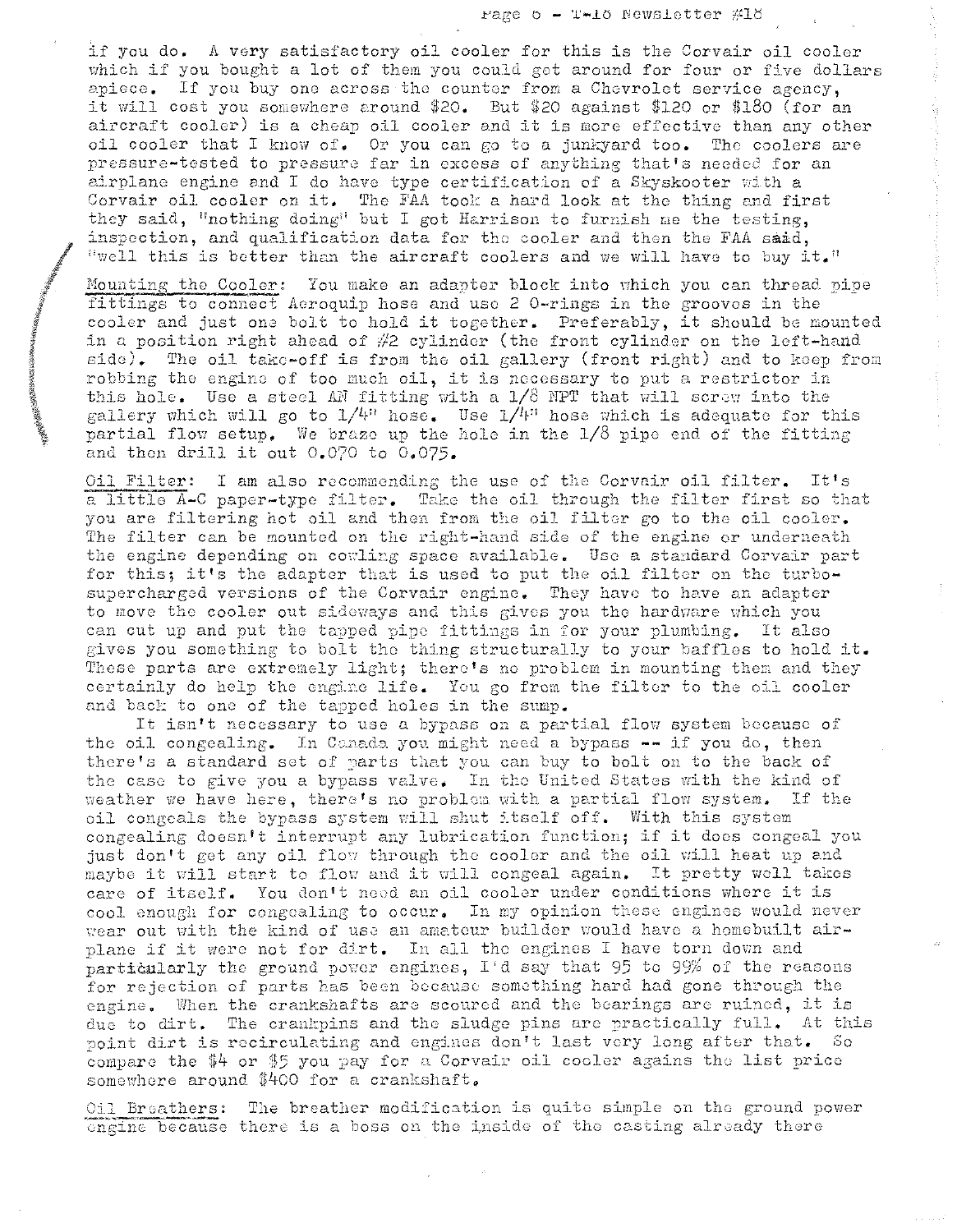rage  $o - T-10$  Newsletter  $\#10$ 

if you do. A vory satisfactory oil cooler for this is the Corvair oil coolor which if you bought a lot of them you could get around for four or five dollars apiece. If you buy one across the counter from a Chevrolet service agency, it will cost you somewhere around \$20. But \$20 against \$120 or \$180 (for an aircraft cooler) is a cheap oil cooler and it is more effective than any other oil cooler that I know of. Or you can go to a junkyard too. The coolers are pressure-tested to pressure far in excess of anything that's needed for an airplane engine and I do have type certification of a Skyskooter with a Corvair oil cooler on it. The FAA took a hard look at the thing and first they said, "nothing doing" but I got Harrison to furnish me the testing, inspection, and qualification data for the cooler and then the FAA said,  $I^{\text{true}}$  this is better than the aircraft coolers and we will have to buy it."

Mounting the Cooler: You make an adapter block into which you can thread pipe fittings to connect Aeroquip hose and use 2 0-rings in the grooves in the cooler and just one bolt to hold it together. Preferably, it should be mounted in a position right ahead of  $#2$  cylinder (the front cylinder on the left-hand  $side)$ . The oil take-off is from the oil gallery (front right) and to keep from robbing the engine of too much oil, it is necessary to put a restrictor in this hole. Use a steel AN fitting with a  $1/8$  NPT that will screw into the gallery which will go to  $1/4$ <sup>n</sup> hose. Use  $1/l$ <sup>n</sup> hose which is adequate for this partial flow setup. We braze up the hole in the  $1/8$  pipe end of the fitting and then drill it out  $0.070$  to  $0.075$ .

Oil Filter: I am also recommending the use of the Corvair oil filter. It's a little A-C paper-type filter. Take the oil through the filter first so that you are filtering hot oil and then from the oil filter go to the oil cooler. The filter can be mounted on the right-hand side of the engine or underneath the engine depending on cowling space available. Use a standard Corvair part for this; it's the adapter that is used to put the oil filter on the turbosupercharged versions of the Corvair engine. They have to have an adapter to move the cooler out sideways and this gives you the hardware which you can cut up and put the tapped pipe fittings in for your plumbing. It also gives you something to bolt the thing structurally to your baffles to hold it. These parts are extremely light; there's no problem in mounting them and they certainly do help the engine life. You go from the filter to the oil cooler and back to one of the tapped holes in the sump.

It isn't necessary to use a bypass on a partial flow system because of the oil congealing. In Canada you might need a bypass -- if you do, then there's a standard set of parts that you can buy to bolt on to the back of the case to give you a bypass valve. In the United States with the kind of  $\frac{1}{2}$  we have here, there's no problem with a partial flow system. If the oil congeals the bypass system will shut itself off. With this system congealing doesn't interrupt any lubrication function; if it does congeal you just don't get any oil flow through the cooler and the oil will heat up and maybe it will start to flow and it will congeal again. It pretty woll takes care of itself. You don't need an oil cooler under conditions where it is cool enough for congealing to occur. In my opinion these engines would never wear out with the kind of use an amateur builder would have a homebuilt airplane if it were not for dirt. In all the engines I have torn down and particularly the ground power engines, I'd say that 95 to 99% of the reasons for rejection of parts has been bocause something hard had gone through the engine. When the crankshafts are scoured and the bearings are ruined, it is due to dirt. The crankpins and the sludge pins are practically full. At this point dirt is recirculating and engines don't last very long after that. So compare the  $$4$  or  $$5$  you pay for a Corvair oil cooler agains the list price somewhere around \$400 for a crankshaft.

Oil Breathers: The breather modification is quite simple on the ground power ongine because there is a boss on the inside of the casting already there